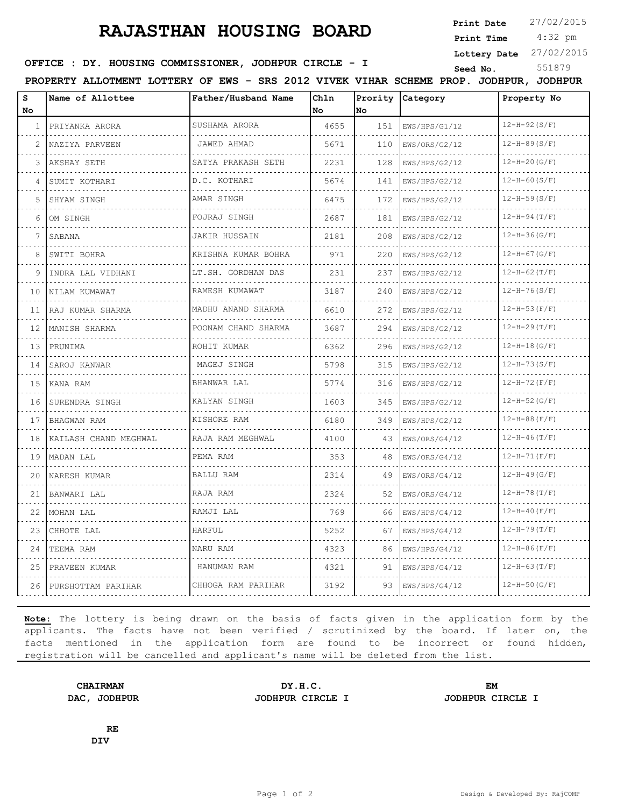## **RAJASTHAN HOUSING BOARD**

**Print Date**  $27/02/2015$ 

 4:32 pm **Print Time**

**Lottery Date** 27/02/2015

## **SEED IDER : DY. HOUSING COMMISSIONER, JODHPUR CIRCLE - I** Seed No. 551879

**PROPERTY ALLOTMENT LOTTERY OF EWS - SRS 2012 VIVEK VIHAR SCHEME PROP. JODHPUR, JODHPUR**

| S<br>No      | Name of Allottee      | Father/Husband Name      | Chln<br>No | No  | Prority Category | Property No        |
|--------------|-----------------------|--------------------------|------------|-----|------------------|--------------------|
| $\mathbf{1}$ | PRIYANKA ARORA        | SUSHAMA ARORA            | 4655       | 151 | EWS/HPS/G1/12    | $12-H-92(S/F)$     |
|              | NAZIYA PARVEEN        | JAWED AHMAD              | 5671       | 110 | EWS/ORS/G2/12    | $12-H-89(S/F)$     |
| 3            | AKSHAY SETH           | SATYA PRAKASH SETH       | 2231       | 128 | EWS/HPS/G2/12    | $12-H-20(G/F)$     |
| 4            | SUMIT KOTHARI         | D.C. KOTHARI             | 5674       | 141 | EWS/HPS/G2/12    | $12-H-60(S/F)$     |
| 5            | SHYAM SINGH           | AMAR SINGH               | 6475       | 172 | EWS/HPS/G2/12    | $12-H-59(S/F)$     |
| 6            | OM SINGH              | FOJRAJ SINGH             | 2687       | 181 | EWS/HPS/G2/12    | $12-H-94(T/F)$     |
| 7            | SABANA                | <b>JAKIR HUSSAIN</b>     | 2181       | 208 | EWS/HPS/G2/12    | $12-H-36(G/F)$     |
| 8            | SWITI BOHRA           | KRISHNA KUMAR BOHRA      | 971        | 220 | EWS/HPS/G2/12    | $12-H-67(G/F)$     |
| 9            | INDRA LAL VIDHANI     | LT.SH. GORDHAN DAS<br>.  | 231        | 237 | EWS/HPS/G2/12    | $12-H-62(T/F)$     |
| 10           | NILAM KUMAWAT         | RAMESH KUMAWAT           | 3187       | 240 | EWS/HPS/G2/12    | $12-H-76(S/F)$     |
| 11           | RAJ KUMAR SHARMA      | MADHU ANAND SHARMA       | 6610       | 272 | EWS/HPS/G2/12    | $12-H-53(F/F)$     |
| 12           | MANISH SHARMA         | POONAM CHAND SHARMA<br>. | 3687       | 294 | EWS/HPS/G2/12    | $12-H-29(T/F)$     |
| 13           | PRUNIMA               | ROHIT KUMAR              | 6362       | 296 | EWS/HPS/G2/12    | $12-H-18(G/F)$     |
| 14           | SAROJ KANWAR          | MAGEJ SINGH              | 5798       | 315 | EWS/HPS/G2/12    | $12-H-73(S/F)$     |
| 15           | KANA RAM              | BHANWAR LAL              | 5774       | 316 | EWS/HPS/G2/12    | $12-H-72(F/F)$     |
| 16           | SURENDRA SINGH        | KALYAN SINGH             | 1603       | 345 | EWS/HPS/G2/12    | $12-H-52(G/F)$     |
| 17           | BHAGWAN RAM           | KISHORE RAM              | 6180       | 349 | EWS/HPS/G2/12    | $12-H-88(F/F)$     |
| 18           | KAILASH CHAND MEGHWAL | RAJA RAM MEGHWAL         | 4100       | 43  | EWS/ORS/G4/12    | $12-H-46(T/F)$     |
| 19           | MADAN LAL             | PEMA RAM                 | 353        | 48  | EWS/ORS/G4/12    | $12-H-71(F/F)$     |
| 20           | NARESH KUMAR          | <b>BALLU RAM</b>         | 2314       | 49  | EWS/ORS/G4/12    | $12-H-49(G/F)$     |
| 21           | BANWARI LAL           | RAJA RAM                 | 2324       | 52  | EWS/ORS/G4/12    | $12 - H - 78(T/F)$ |
| 22           | MOHAN LAL             | RAMJI LAL                | 769        | 66  | EWS/HPS/G4/12    | $12-H-40(F/F)$     |
| 23           | CHHOTE LAL            | HARFUL                   | 5252       | 67  | EWS/HPS/G4/12    | $12-H-79(T/F)$     |
| 24           | TEEMA RAM             | NARU RAM                 | 4323       | 86  | EWS/HPS/G4/12    | $12-H-86(F/F)$     |
| 25           | PRAVEEN KUMAR         | HANUMAN RAM              | 4321       | 91  | EWS/HPS/G4/12    | $12-H-63(T/F)$     |
| 26           | PURSHOTTAM PARIHAR    | CHHOGA RAM PARIHAR       | 3192       | 93  | EWS/HPS/G4/12    | $12-H-50(G/F)$     |

**Note:** The lottery is being drawn on the basis of facts given in the application form by the applicants. The facts have not been verified / scrutinized by the board. If later on, the facts mentioned in the application form are found to be incorrect or found hidden, registration will be cancelled and applicant's name will be deleted from the list.

**CHAIRMAN DY.H.C. EM DAC, JODHPUR JODHPUR CIRCLE I JODHPUR CIRCLE I**

**RE DIV**